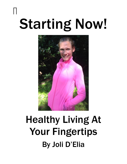# Starting Now!

Н



# Healthy Living At Your Fingertips By Joli D'Elia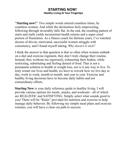**"Starting now!"** Two simple words uttered countless times, by countless women. And while the declaration feels empowering, following through invariably falls flat. In the end, the resulting pattern of starts and stalls yields inconsistent health returns and a super sized portion of frustration. As a fitness coach for thirteen years, I've watched dozens of driven, motivated, successful women struggle with consistency, and I found myself asking, *Why doesn't it stick?*

I think the answer to that question is that so often when women embark on a diet and exercise regiment, they don't truly change their routine. Instead, they workout too rigorously, exhausting their bodies, while restricting, substituting and feeling denied of food. That is not a permanent solution to health or weight loss, nor is it any way to live. To truly restart our lives and health, we have to rework how we live day to day, week to week, month to month, and year to year. Exercise and healthy living decisions have to become daily habits and not extraordinary efforts.

**Starting Now** is your daily reference guide to healthy living. I will provide various options for meals, snacks, and workouts - all of which are REALISTIC and SATISFYING. Simply select what sounds good to you! There will be "Rules" provided for nutrition and exercise to help manage daily behavior. By following my simple meal plans and exercise routines, you will have a clear cut path to success.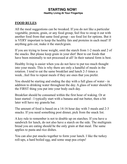# **FOOD RULES**:

All the meal suggestions can be tweaked. If you do not like a particular vegetable, protein, grain, or any food group, feel free to swap it out with another food from that same food group - see food list for options. But it is VERY important to keep the healthy fats and proteins in each meal! If anything gets cut, make it the starch/grain.

If you are trying to loose weight, omit the starch from 1-2 meals and 2 of the snacks. But please keep grain in your diet! Best to eat foods that have been minimally to not processed at all! In their natural form is best.

Healthy living is easier when you do not have to put too much thought into your meals. This is why there are only a handful of meals in the rotation. I tend to eat the same breakfast and lunch 2-3 times a week...feel free to repeat meals if they are ones that you prefer.

You should be starting and ending the day with a full glass of water - in addition to drinking water throughout the day. A glass of water should be the FIRST thing you put into your body each day.

Breakfast should be consumed within the first hour of waking. Or at least started - I typically start with a banana and nut butter, then a bit later will have my granola bar.

The amount of food is based on a 14-16 hour day with 3 meals and 2-3 snacks. If you need something post dinner, pick from the snack list.

A key rule to remember is not to double up on starches. If you have a sandwich for lunch, do not also have a starch on the side. The multigrain bread you are eating should be the only grain at that meal. The same applies to pasta and rice dishes.

You can also put snacks together to form your lunch. I like the turkey roll-ups, a hard boiled egg, and some snap pea crisps!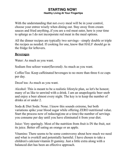With the understanding that not *every* meal will be in your control, choose your entree wisely when dining out. Stay away from cream sauces and fried anything..if you are a red meat eater, here is your time to splurge as I do not incorporate red meat in the meal options.

All the dinner recipes are typically two servings - simply double or triple the recipes as needed. If cooking for one, know that HALF should go in the fridge for leftovers.

#### **Beverages**

Water: As much as you want.

Sodium free seltzer water(flavored): As much as you want.

Coffee/Tea: Keep caffeinated beverages to no more than three 6 oz cups per day.

Decaf tea: As much as you want.

Alcohol: This is meant to be a realistic lifestyle plan, so let's be honest; many of us like to unwind with a drink. I am an unapologetic beer snob and enjoy a beer almost every night. The key is to keep the number of drinks at or under 2.

Soda & Diet Soda: None. I know this sounds extreme, but both variations spike your blood sugar while offering ZERO nutritional value. Start the process now of reducing(one at a time) the number of servings you consume per day until you have eliminated it from your diet.

Juice: Very sparingly. Most of the nutrition from fruit is IN the fruit, not its juice. Better off eating an orange or an apple.

Vitamins: There seems to be some controversy about how much we need and what is overkill and potentially harmful. I have chosen to take a children's calcium/vitamin D gummy. Just a little extra along with a balanced diet has been an effective approach.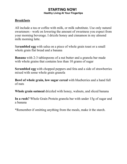# **Breakfasts**

All include a tea or coffee with milk, or milk substitute. Use only natural sweeteners - work on lowering the amount of sweetness you expect from your morning beverage. I drizzle honey and cinnamon in my almond milk morning latte.

S**crambled egg** with salsa on a piece of whole grain toast or a small whole grain flat bread and a banana

**Banana** with 2-3 tablespoons of a nut butter and a granola bar made with whole grains that contains less than 10 grams of sugar

**Scrambled egg** with chopped peppers and feta and a side of strawberries mixed with some whole grain granola

**Bowl of whole grain, low sugar cereal** with blueberries and a hand full of nuts

**Whole grain oatmeal** drizzled with honey, walnuts, and sliced banana

**In a rush?** Whole Grain Protein granola bar with under 15g of sugar and a banana

\*Remember-if omitting anything from the meals, make it the starch.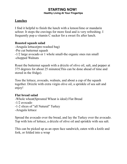#### **Lunches**

I find it helpful to finish the lunch with a lemon/lime or mandarin seltzer. It stops the cravings for more food and is very refreshing. I frequently pop a vitamin C sucker for a sweet fix after lunch.

# **Roasted squash salad**

-Arugula lettuce(pre-washed bag) -Pre cut butternut squash -1/2 large avocado or 1 whole small-the organic ones run small -chopped Walnuts

Roast the butternut squash with a drizzle of olive oil, salt, and pepper at 375 degrees for about 25 minutes(This can be done ahead of time and stored in the fridge).

Toss the lettuce, avocado, walnuts, and about a cup of the squash together. Drizzle with extra virgin olive oil, a sprinkle of sea salt and enjoy!

#### **Flat bread salad**

-Whole wheat(Sprouted Wheat is ideal) Flat Bread -1/2 avocado -1-2 slices of "all Natural" Turkey -Arugula lettuce

Spread the avocado over the bread, and lay the Turkey over the avocado. Top with lots of lettuce, a drizzle of olive oil and sprinkle with sea salt.

This can be picked up as an open face sandwich, eaten with a knife and fork, or folded into a wrap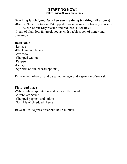**Healthy Living At Your Fingertips**

# **Snacking lunch (good for when you are doing ten things all at once)**

-Rice or Nut chips (about 15) dipped in salsa(as much salsa as you want) -1/4-1/2 cup of nuts(dry roasted and reduced salt or Raw) -1 cup of plain low fat greek yogurt with a tablespoon of honey and cinnamon

#### **Bean salad**

-Lettuce -Black and red beans -Avocado -Chopped walnuts -Peppers -Celery -Sprinkle of feta cheese(optional)

Drizzle with olive oil and balsamic vinegar and a sprinkle of sea salt

#### **Flatbread pizza**

-Whole wheat(sprouted wheat is ideal) flat bread -Arrabbiata Sauce -Chopped peppers and onions -Sprinkle of shredded cheese

Bake at 375 degrees for about 10-15 minutes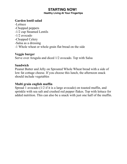**Healthy Living At Your Fingertips**

#### **Garden lentil salad**

-Lettuce -Chopped peppers -1/2 cup Steamed Lentils -1/2 avocado -Chopped Celery -Salsa as a dressing -1 Whole wheat or whole grain flat bread on the side

#### **Veggie burger**

Serve over Arugula and diced 1/2 avocado. Top with Salsa

#### **Sandwich**

Peanut Butter and Jelly on Sprouted Whole Wheat bread with a side of low fat cottage cheese. If you choose this lunch, the afternoon snack should include vegetables

#### **Multi grain english muffin**

Spread 1 avocado (1/2 if it is a large avocado) on toasted muffin, and sprinkle with sea salt and crushed red pepper flakes. Top with lettuce for added nutrition. This can also be a snack with just one half of the muffin.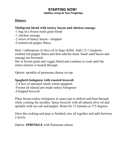**Healthy Living At Your Fingertips**

# **Dinners**

# **Multigrain blend with turkey bacon and chicken sausage**

- -1 bag of a frozen multi grain blend
- -1 chicken sausage
- -2 slices of turkey bacon chopped
- -Crushed red pepper flakes

Heat 1 tablespoon of olive oil in large skillet. Add 1/2-1 teaspoon crushed red pepper flakes and then add the meat. Sauté until bacon and sausage are browned.

Stir in frozen grain and veggie blend and continue to cook until the entire mixture is heated through.

Option: sprinkle of parmesan cheese on top.

# **Spaghetti bolognese with roasted broccoli**

-1/4 box of sprouted whole wheat spaghetti -Frozen all natural pre-made turkey bolognese -Chopped broccoli

Place frozen turkey bolognese in sauce pan to defrost and heat through while cooking the noodles. Spray broccoli with all natural olive oil and sprinkle with sea salt and pepper. Roast for 15 minutes at 375 degrees.

Once the cooking and prep is finished, mix all together and split between 2 bowls

Option: **SPRINKLE** with Parmesan cheese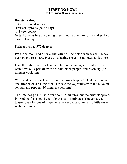**Healthy Living At Your Fingertips**

#### **Roasted salmon**

3/4 - 1 LB Wild salmon -Brussels sprouts (half a bag) -1 Sweet potato Note: I always line the baking sheets with aluminum foil-it makes for an easier clean up!

Preheat oven to 375 degrees

Pat the salmon, and drizzle with olive oil. Sprinkle with sea salt, black pepper, and rosemary. Place on a baking sheet (15 minutes cook time)

Dice the entire sweet potato and place on a baking sheet. Also drizzle with olive oil. Sprinkle with sea salt, black pepper, and rosemary (45) minutes cook time)

Wash and peel a few leaves from the brussels sprouts. Cut them in half and arrange on a baking sheet. Drizzle the vegetables with the olive oil, sea salt and pepper. (30 minutes cook time)

The potatoes go in first. After about 15 minutes, put the brussels sprouts in. And the fish should cook for the last 15 minutes. You can use a toaster oven for one of these items to keep it separate and a little easier with the timing.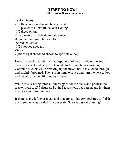**Healthy Living At Your Fingertips**

#### **Turkey tacos**

-1/2 lb. lean ground white turkey meat -1/4 packet of all natural taco seasoning -1/2 diced onion -1 cup natural arrabbiata tomato sauce -Organic multigrain taco shells -Shredded lettuce -1/2 chopped avocado -Salsa Option: light shredded cheese to sprinkle on top

Heat a large skillet with 1/2 tablespoon of olive oil. Add onion and a dash of sea salt and pepper. Then add turkey and taco seasoning. Continue to cook while breaking up the meat until it is cooked through and slightly browned. Then stir in tomato sauce and turn the heat to low and let sit for about 10 minutes covered.

While this is sitting, prep all the veggies for the tacos and preheat the toaster oven to 275 degrees. Put in 2 taco shells per person and let them heat for about 3-4 minutes.

If there is any left over meat, and you are still hungry, feel free to finish the ingredients as a salad on your plate. Salsa is a great dressing!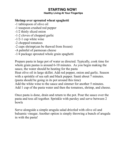**Healthy Living At Your Fingertips**

# **Shrimp over sprouted wheat spaghetti**

- -1 tablespoon of olive oil
- -1 teaspoon crushed red pepper
- -1/2 thinly sliced onion
- -1-2 cloves of chopped garlic
- -1/2-1 cup white wine
- -2 chopped tomatoes
- -2 cups shrimp(can be thawed from frozen)
- -A palmful of parmesan cheese
- -1/4 package sprouted whole grain spaghetti

Prepare pasta in large pot of water as directed. Typically, cook time for whole grain pastas is around 6-10 minutes. As you begin making the sauce, the water should be heating for the pasta

Heat olive oil in large skillet. Add red pepper, onion and garlic. Season with a sprinkle of sea salt and black pepper. Sauté about 7 minutes. (pasta should be going in its pot around this time)

Add the white wine to the sauce and simmer for another 5 minutes.

Add 1 cup of the pasta water and then the tomatoes, shrimp, and cheese.

Once pasta is done, drain and return to the pot. Pour the sauce over the pasta and toss all together. Sprinkle with parsley and serve between 2 bowls

Serve alongside a simple arugula salad drizzled with olive oil and balsamic vinegar. Another option is simply throwing a bunch of arugula in with the pasta!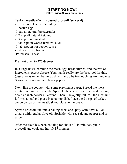**Healthy Living At Your Fingertips**

# **Turkey meatloaf with roasted broccoli (serves 4)**

- -1 lb. ground lean white turkey
- -1 beaten egg
- -1 cup all natural breadcrumbs
- -1/4 cup all natural ketchup
- -1/4 cup dijon mustard
- -1 tablespoon worcestershire sauce
- -1 tablespoon hot pepper sauce
- -2 slices turkey bacon
- -Parmesan Cheese

Pre-heat oven to 375 degrees

In a large bowl, combine the meat, egg, breadcrumbs, and the rest of ingredients except cheese. Your hands really are the best tool for this. (Just always remember to wash with soap before touching anything else) Season with sea salt and black pepper.

Next, line the counter with some parchment paper. Spread the meat mixture out into a rectangle. Sprinkle the cheese over the meat leaving about an inch border all around. Then, like a jelly roll, roll the meat until it forms a loaf and place in a baking dish. Place the 2 strips of turkey bacon on top of the meatloaf and place in the oven.

Spread broccoli out onto a baking sheet and spray with olive oil, or drizzle with regular olive oil. Sprinkle with sea salt and pepper and set aside.

After meatloaf has been cooking for about 40-45 minutes, put in broccoli and cook another 10-15 minutes.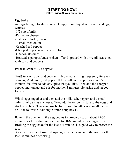**Healthy Living At Your Fingertips**

# **Egg bake**

-4 Eggs brought to almost room temp(if more liquid is desired, add egg whites)

-1/2 cup of milk

- -Parmesan cheese
- -3 slices of turkey bacon
- -1 small-med onion
- -Crushed red pepper
- -Chopped pepper-any color you like
- -One tomato diced

-Roasted asparagus(ends broken off and sprayed with olive oil, seasoned with salt and pepper)

Preheat Oven to 375 degrees

Sauté turkey bacon and cook until browned, stirring frequently for even cooking. Add onion, red pepper flakes, salt and pepper for about 5 minutes-feel free to add any spice that you like. Then add the chopped pepper and tomato and stir for another 3 minutes. Set aside and let cool for a bit.

Whisk eggs together and then add the milk, salt, pepper, and a small palmful of parmesan cheese. Next, add the onion mixture to the eggs and stir to combine. This can now be transferred to either one small pie dish or I like to divide it among 2 onion soup bowls.

Bake in the oven until the egg begins to brown on top…about 25-35 minutes for the individuals and up to 50-60 minutes for a bigger dish. Broiling the egg bake for the last 2-4 minutes is a good way to brown the top.

Serve with a side of roasted asparagus, which can go in the oven for the last 10 minutes of cooking.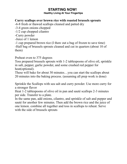#### **Healthy Living At Your Fingertips**

# **Curry scallops over brown rice with roasted brussels sprouts**

-6-8 fresh or thawed scallops cleaned and patted dry

-3-4 green onions chopped

-1/2 cup chopped cilantro

-Curry powder

-Juice of 1 lemon

-1 cup prepared brown rice (I thaw out a bag of frozen to save time) -Half bag of brussels sprouts cleaned and cut in quarters (about 10 of them)

#### Preheat oven to 375 degrees

Toss prepared brussels sprouts with 1-2 tablespoons of olive oil, sprinkle in salt, pepper, garlic powder, and some crushed red pepper for heat(optional).

These will bake for about 30 minutes…you can start the scallops about 20 minutes into the baking process. (assuming all prep work is done)

Sprinkle the Scallops with sea salt and curry powder. Use more curry for a stronger flavor

Heat 1-2 tablespoons of olive oil in pan and sauté scallops 2-3 minutes per side. Transfer to a plate.

In the same pan, add onions, cilantro, and sprinkle of salt and pepper and sauté for another few minutes. Then add the brown rice and the juice of one lemon. combine all together and toss in scallops to reheat. Serve with the side of brussels sprouts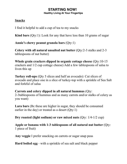#### **Snacks**

I find it helpful to add a cup of tea to my snacks

**Kind bars** (Qty:1): Look for any that have less than 10 grams of sugar

**Annie's chewy peanut granola bars** (Qty:1)

**Celery with all natural unsalted nut butter** (Qty:2-3 stalks and 2-3 tablespoons of nut butter)

**Whole grain crackers dipped in organic cottage cheese** (Qty:10-15 crackers and 1/2 cup cottage cheese) Add a few tablespoons of salsa to liven this up

**Turkey roll-ups** (Qty 5 slices and half an avocado): Cut slices of avocado and place one in a slice of turkey-top with a sprinkle of Sea Salt and forkful of salsa

**Carrots and celery dipped in all natural hummus** (Qty: 2-3tablespoons of hummus and as many carrots and/or stalks of celery as you want)

**Lara bars** (Bc these are higher in sugar, they should be consumed earlier in the day) or treated as a desert (Qty:1)

**Dry roasted (light sodium) or raw mixed nuts** (Qty: 1/4-1/2 cup)

**Apple or banana with 1-3 tablespoons of all natural nut butter** (Qty: 1 piece of fruit)

**Any veggie** I prefer snacking on carrots or sugar snap peas

**Hard boiled egg** - with a sprinkle of sea salt and black pepper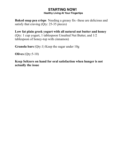**Baked snap pea crisps** Needing a greasy fix- these are delicious and satisfy that craving (Qty: 25-35 pieces)

**Low fat plain greek yogurt with all natural nut butter and honey** (Qty: 1 cup yogurt, 1 tablespoon Unsalted Nut Butter, and 1/2 tablespoon of honey-top with cinnamon)

**Granola bars** (Qty:1) Keep the sugar under 10g

**Olives** (Qty:5-10)

**Keep Seltzers on hand for oral satisfaction when hunger is not actually the issue**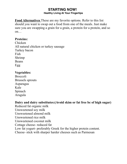**Food Alternatives** These are my favorite options. Refer to this list should you want to swap out a food from one of the meals. Just make sure you are swapping a grain for a grain, a protein for a protein, and so on…

# **Proteins:**

Chicken All natural chicken or turkey sausage Turkey bacon Fish Shrimp Beans Egg

#### **Vegetables:**

Broccoli Brussels sprouts Asparagus Kale Spinach Arugula

#### **Dairy and dairy substitutes:(Avoid skim or fat free bc of high sugar)**

Reduced fat organic milk Unsweetened soy milk Unsweetened almond milk Unsweetened rice milk Unsweetened coconut milk Cottage cheese- reduced fat Low fat yogurt- preferably Greek for the higher protein content. Cheese- stick with sharper harder cheeses such as Parmesan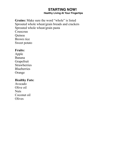**Grains:** Make sure the word "whole" is listed Sprouted whole wheat/grain breads and crackers Sprouted whole wheat/grain pasta Couscous Quinoa Brown rice Sweet potato

#### **Fruits:**

Apple Banana Grapefruit **Strawberries Blueberries** Orange

#### **Healthy Fats:**

Avocado Olive oil **Nuts** Coconut oil **Olives**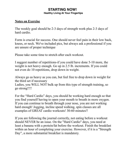#### **Notes on Exercise**

The weekly goal should be 2-3 days of strength work plus 2-3 days of hard cardio.

Form is crucial for success. One should never feel pain in their low back, knees, or neck. We've included pics, but always ask a professional if you are unsure of proper technique

Please take some time to stretch after each workout.

I suggest number of repetitions-if you could have done 5-10 more, the weight is not heavy enough. Go up in 2.5 lb. increments. If you could not even do 10 repetitions, drop down in weight.

Always go as heavy as you can, but feel free to drop down in weight for the third set if necessary

Ladies, you WILL NOT bulk up from this type of strength training, so go strong!!!!

For the "Hard Cardio" days, you should be working hard enough so that you find yourself having to open your mouth to breath in more oxygen. If you can continue to breath through your nose, you are not working hard enough! Jogging, incline speed walking, spin classes are all examples of GREAT cardio workouts! 30-60 minutes!!

If you are following the journal correctly, not eating before a workout should NEVER be an issue. On the "Hard Cardio" days, you need at least a banana with a protein/fat before the workout. Finish the breakfast within an hour of completing your exercise. However, if it is a "Strength Day", a more substantial breakfast is mandatory.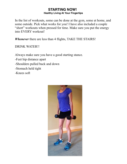In the list of workouts, some can be done at the gym, some at home, and some outside. Pick what works for you! I have also included a couple "short" workouts when pressed for time. Make sure you put the energy into EVERY workout!

*Whenever* there are less than 4 flights, TAKE THE STAIRS!

DRINK WATER!!

Always make sure you have a good starting stance.

- -Feet hip distance apart
- -Shoulders pulled back and down
- -Stomach held tight
- -Knees soft

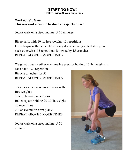**Healthy Living At Your Fingertips**

# **Workout #1: Gym This workout meant to be done at a quicker pace**

Jog or walk on a steep incline: 5-10 minutes

Bicep curls with 10 lb. free weights-15 repetitions Full sit-ups- with feet anchored only if needed ie: you feel it in your back otherwise -15 repetitions followed by 15 crunches REPEAT ABOVE 2 MORE TIMES

Weighted squats- either machine leg press or holding 15 lb. weights in each hand - 20 repetitions Bicycle crunches for 50 REPEAT ABOVE 2 MORE TIMES

Tricep extensions on machine or with free weights: 7.5-10 lb. —20 repetitions Ballet squats holding 20-30 lb. weight-20 repetitions 20-30 second forearm plank REPEAT ABOVE 2 MORE TIMES

Jog or walk on a steep incline: 5-10 minutes

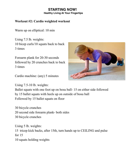**Healthy Living At Your Fingertips**

# **Workout #2: Cardio weighted workout**

Warm up on elliptical: 10 min

Using 7.5 lb. weights: 10 bicep curls/10 squats back to back 3 times

Forearm plank for 20-30 seconds followed by 20 crunches back to back 3 times

Cardio machine: (any) 5 minutes

Using 7.5-10 lb. weights:



Ballet squats with one foot up on bosu ball- 15 on either side followed by 15 ballet squats with heels up on outside of bosu ball Followed by 15 ballet squats on floor

30 bicycle crunches 20 second side forearm plank- both sides 30 bicycle crunches

Using 5 lb. weights: 15 tricep kick backs, after 15th, turn hands up to CEILING and pulse for 15 10 squats holding weights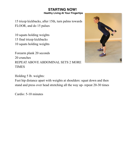15 tricep kickbacks, after 15th, turn palms towards FLOOR, and do 15 pulses

10 squats holding weights 15 final tricep kickbacks 10 squats holding weights

Forearm plank 20 seconds 20 crunches REPEAT ABOVE ABDOMINAL SETS 2 MORE TIMES



Holding 5 lb. weights:

Feet hip distance apart with weights at shoulders: squat down and then stand and press over head stretching all the way up- repeat 20-30 times

Cardio: 5-10 minutes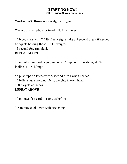**Healthy Living At Your Fingertips**

#### **Workout #3: Home with weights or gym**

Warm up on elliptical or treadmill: 10 minutes

45 bicep curls with 7.5 lb. free weights(take a 5 second break if needed) 45 squats holding those 7.5 lb. weights. 45 second forearm plank REPEAT ABOVE

10 minutes fast cardio- jogging 6.0-6.5 mph or hill walking at 8% incline at 3.6-4.0mph

45 push-ups on knees with 5 second break when needed 45 ballet squats holding 10 lb. weights in each hand 100 bicycle crunches REPEAT ABOVE

10 minutes fast cardio- same as before

3-5 minute cool down with stretching.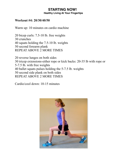**Healthy Living At Your Fingertips**

#### **Workout #4: 20/30/40/50**

Warm up: 10 minutes on cardio machine

20 bicep curls: 7.5-10 lb. free weights 30 crunches 40 squats holding the 7.5-10 lb. weights 50 second forearm plank REPEAT ABOVE 2 MORE TIMES

20 reverse lunges on both sides 30 tricep extensions-either rope or kick backs: 20-35 lb with rope or 5-7.5 lb. with free weights 40 ballet squats pulses holding the 5-7.5 lb. weights 50 second side plank on both sides REPEAT ABOVE 2 MORE TIMES

Cardio/cool down: 10-15 minutes

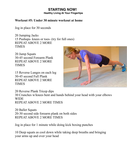**Healthy Living At Your Fingertips**

#### **Workout #5: Under 30 minute workout at home**

Jog in place for 30 seconds

20 Jumping Jacks 15 Pushups- knees or toes- (try for full ones) REPEAT ABOVE 2 MORE TIMES

20 Jump Squats 30-45 second Forearm Plank REPEAT ABOVE 2 MORE TIMES

15 Reverse Lunges on each leg 30-45 second Full Plank REPEAT ABOVE 2 MORE TIMES



20 Reverse Plank Tricep dips 30 Crunches w/knees bent and hands behind your head with your elbows **WIDE** REPEAT ABOVE 2 MORE TIMES

20 Ballet Squats 20-30 second side forearm plank on both sides REPEAT ABOVE 2 MORE TIMES

Jog in place for 1 minute while doing kick boxing punches

10 Deep squats as cool down while taking deep breaths and bringing your arms up and over your head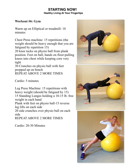#### **Workout #6: Gym**

Warm up on Elliptical or treadmill: 10 minutes

Chest Press machine: 15 repetitions (the weight should be heavy enough that you are fatigued by repetition 15)

20 knee tucks on physio ball from plank position. Feet on ball, hands on floor-pulling knees into chest while keeping core very tight

30 Crunches on physio ball with feet propped up on bench REPEAT ABOVE 2 MORE TIMES

Cardio: 5 minutes

Leg Press Machine: 15 repetitions with heavy weight (should be fatigued by 15) 15 Standing Lunges holding a 10-15 lb. free weight in each hand Plank with feet on physio ball-15 reverse leg lifts on each side 20 side crunches over physio ball on each

side

REPEAT ABOVE 2 MORE TIMES

Cardio: 20-30 Minutes





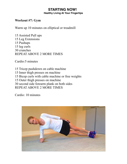**Healthy Living At Your Fingertips**

#### **Workout #7: Gym**

Warm up 10 minutes on elliptical or treadmill

15 Assisted Pull ups 15 Leg Extensions 15 Pushups 15 leg curls 30 crunches REPEAT ABOVE 2 MORE TIMES

Cardio:5 minutes

15 Tricep pushdown on cable machine 15 Inner thigh presses on machine 15 Bicep curls with cable machine or free weights 15 Outer thigh presses on machine 30 second side forearm plank on both sides REPEAT ABOVE 2 MORE TIMES

Cardio: 10 minutes

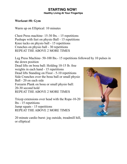#### **Workout #8: Gym**

Warm up on Elliptical: 10 minutes

Chest Press machine- 15-30 lbs. - 15 repetitions Pushups with feet on physio Ball - 15 repetitions Knee tucks on physio ball - 15 repetitions Crunches on physio ball - 30 repetitions REPEAT THE ABOVE 2 MORE TIMES

Leg Press Machine- 50-100 lbs.- 15 repetitions followed by 10 pulses in the down position Dead lifts on bosu ball: Holding 10-15 lb. free

weights in each hand - 15 repetitions Dead lifts Standing on Floor - 5-10 repetitions Side Crunches over the bosu ball or small physio Ball - 20 on each side

Forearm Plank on bosu or small physio ball: 20-30 second hold

REPEAT THE ABOVE 2 MORE TIMES

Tricep extensions over head with the Rope-10-20 lbs - 15 repetitions Jump squats - 15 repetitions REPEAT THE ABOVE 2 MORE TIMES

20 minute cardio burst: jog outside, treadmill hill, or elliptical

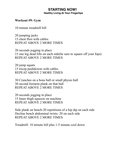**Healthy Living At Your Fingertips**

#### **Workout #9: Gym**

10 minute treadmill hill

20 jumping jacks 15 chest flies with cables REPEAT ABOVE 2 MORE TIMES

20 seconds jogging in place 15 one leg dead lifts on each side(be sure to square off your hips) REPEAT ABOVE 2 MORE TIMES

20 jump squats 15 tricep pushdowns with cables REPEAT ABOVE 2 MORE TIMES

30 Crunches on a bosu ball or small physio ball 30 second forearm plank on that ball REPEAT ABOVE 2 MORE TIMES

20 seconds jogging in place 15 Inner thigh squeeze on machine REPEAT ABOVE 2 MORE TIMES

Side plank on bench-20 repetitions of a hip dip on each side Decline bench abdominal twists- 20 on each side REPEAT ABOVE 2 MORE TIMES

Treadmill: 10 minute hill plus 1-5 minute cool down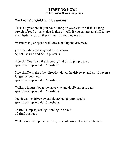**Healthy Living At Your Fingertips**

#### **Workout #10: Quick outside workout**

This is a great one if you have a long driveway to use-If it is a long stretch of road or park, that is fine as well. If you can get to a hill to use, even better to do all these things up and down a hill.

Warmup: jog or speed walk down and up the driveway

jog down the driveway and do 20 squats Sprint back up and do 15 pushups

Side shuffles down the driveway and do 20 jump squats sprint back up and do 15 pushups

Side shuffle in the other direction down the driveway and do 15 reverse lunges on both legs sprint back up and do 15 pushups

Walking lunges down the driveway and do 20 ballet squats sprint back up and do 15 pushups

Jog down the driveway and do 20 ballet jump squats sprint back up and do 15 pushups

15 final jump squats legs coming in an out 15 final pushups

Walk down and up the driveway to cool down taking deep breaths